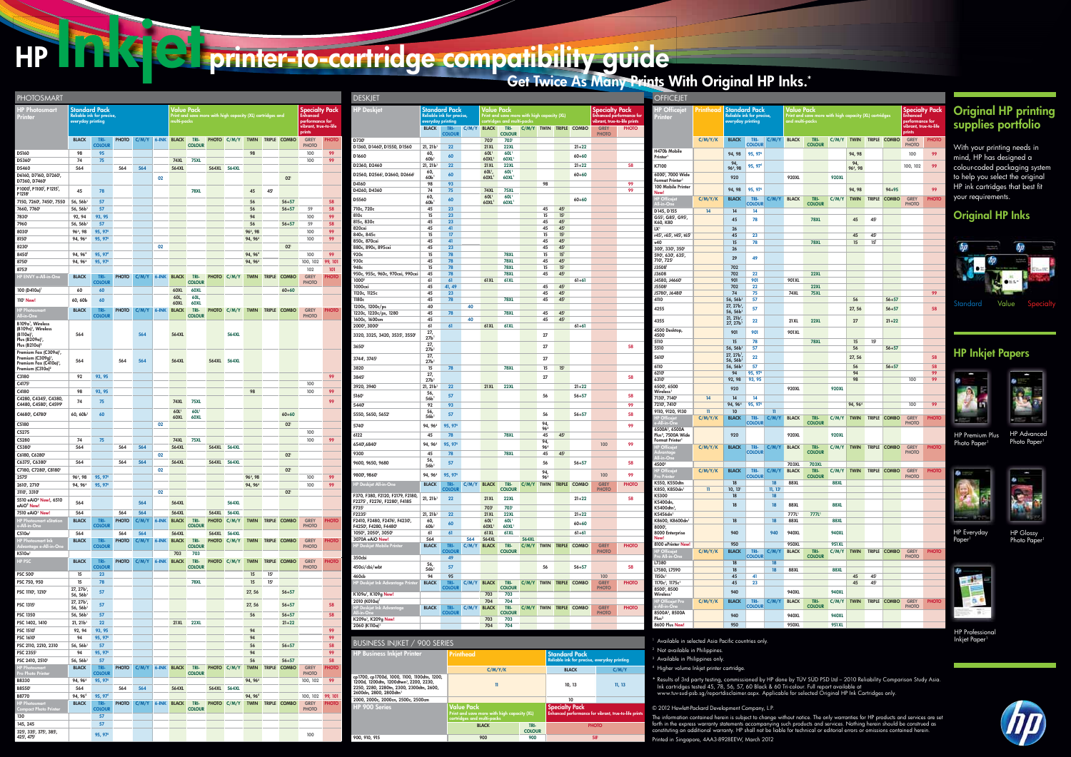## HP INKIC printer-to-cartridge compatibility guide

## Get Twice As Many Prints With Original HP Inks.\*

## Original HP printing supplies portfolio

With your printing needs in mind, HP has designed a colour-coded packaging system to help you select the original HP ink cartridges that best fit your requirements.



HP Professional **Inkjet Paper** 



HP Advanced Photo Paper<sup>1</sup>



HP Glossy Photo Paper<sup>1</sup>





HP Everyday Paper<sup>1</sup>



HP Premium Plus Photo Paper<sup>1</sup>

## Original HP Inks



## HP Inkjet Papers

|                                                                                                                                                                          |                                                                           |                       | Reliable ink for precise, everyday printing           |        |    |  |  |
|--------------------------------------------------------------------------------------------------------------------------------------------------------------------------|---------------------------------------------------------------------------|-----------------------|-------------------------------------------------------|--------|----|--|--|
|                                                                                                                                                                          | C/M/Y/K                                                                   |                       | <b>BLACK</b>                                          | C/M/Y  |    |  |  |
| cp1700, cp1700d, 1000, 1100, 1100dtn, 1200,<br>1200d. 1200dtn. 1200dtwn <sup>1</sup> . 2200. 2230.<br>2250, 2280, 2280tn, 2300, 2300dtn, 2600,<br>2600dn, 2800, 2800dtn1 | 11                                                                        |                       | 10, 13                                                | 11, 13 | a. |  |  |
| 2000, 2000c, 2000cn, 2500c, 2500cm                                                                                                                                       |                                                                           |                       | 10                                                    |        |    |  |  |
| <b>HP 900 Series</b>                                                                                                                                                     | <b>Value Pack</b>                                                         |                       | <b>Specialty Pack</b>                                 |        |    |  |  |
|                                                                                                                                                                          | Print and save more with high capacity (XL)<br>cartridges and multi-packs |                       | Enhanced performance for vibrant, true-to-life prints |        |    |  |  |
|                                                                                                                                                                          | <b>BLACK</b>                                                              | TRI-<br><b>COLOUR</b> | <b>PHOTO</b>                                          |        |    |  |  |
| 900, 910, 915                                                                                                                                                            | 900                                                                       | 900                   | 58                                                    |        |    |  |  |
|                                                                                                                                                                          |                                                                           |                       |                                                       |        |    |  |  |

gher volume Inkjet printer cartridge. \* Results of 3rd party testing, commissioned by HP done by TÜV SÜD PSD Ltd – 2010 Reliability Comparison Study Asia.<br>Ink cartridges tested 45, 78, 56, 57, 60 Black & 60 Tri-colour. Full report available at<br>www.tuv-sud-psb.

| <b>DESKJET</b>                                            |                         |                                                |           |                                                                           |                                       |       |             |                                                                 |                         |                                   |              | <b>OFFICEJET</b>                                                     |                         |                                                  |                                                                           |                       |                   |                       |              |                             |                        |           |
|-----------------------------------------------------------|-------------------------|------------------------------------------------|-----------|---------------------------------------------------------------------------|---------------------------------------|-------|-------------|-----------------------------------------------------------------|-------------------------|-----------------------------------|--------------|----------------------------------------------------------------------|-------------------------|--------------------------------------------------|---------------------------------------------------------------------------|-----------------------|-------------------|-----------------------|--------------|-----------------------------|------------------------|-----------|
| <b>HP Deskiet</b>                                         |                         | <b>Standard Pack</b>                           |           | Value Pack<br><b>Specialty Pack</b>                                       |                                       |       |             |                                                                 | <b>HP Officejet</b>     | <b>Standard Pack</b><br>Printhead |              |                                                                      | Value Pack              |                                                  |                                                                           |                       |                   |                       |              |                             |                        |           |
|                                                           |                         | Reliable ink for precise,<br>everyday printing |           | Print and save more with high capacity (XL)<br>cartridges and multi-packs |                                       |       |             | <b>Enhanced performance for</b><br>vibrant, true-to-life prints |                         | Printer                           |              | Reliable ink for precise,<br>everyday printing                       |                         |                                                  | Print and save more with high capacity (XL) cartridges<br>and multi-packs |                       |                   |                       |              |                             |                        |           |
|                                                           | <b>BLACK</b>            | TRI-                                           | C/M/Y     | <b>BLACK</b>                                                              | TRI-                                  |       |             |                                                                 | C/M/Y TWIN TRIPLE COMBO | <b>GREY</b>                       | <b>PHOTO</b> |                                                                      |                         |                                                  |                                                                           |                       |                   |                       |              |                             |                        |           |
| D730                                                      |                         | <b>COLOUR</b>                                  |           | 703                                                                       | <b>COLOUR</b><br>703                  |       |             |                                                                 |                         | <b>PHOTO</b>                      |              |                                                                      | C/M/Y/K                 | <b>BLACK</b>                                     | TRI-                                                                      | C/M/Y                 | <b>BLACK</b>      | TRI-                  |              |                             | C/M/Y TWIN TRIPLE COMB |           |
| D1360, D1460 <sup>1</sup> , D1550, D1560                  | $21, 21b$ <sup>1</sup>  | 22                                             |           | <b>21XL</b>                                                               | <b>22XL</b>                           |       |             |                                                                 | $21 + 22$               |                                   |              | H470b Mobile                                                         |                         |                                                  | <b>COLOUR</b>                                                             |                       |                   | <b>COLOUR</b>         |              |                             |                        |           |
| D1660                                                     | 60,<br>60 <sub>b</sub>  | 60                                             |           | 60L <sup>1</sup><br>60XL                                                  | 60L <sup>1</sup><br>60XL              |       |             |                                                                 | $60 + 60$               |                                   |              | Printer <sup>1</sup>                                                 |                         | 94, 98                                           | 95, 974                                                                   |                       |                   |                       |              | 94, 98                      |                        |           |
| D2360, D2460                                              | $21, 21b$ <sup>1</sup>  | 22                                             |           | <b>21XL</b>                                                               | <b>22XL</b>                           |       |             |                                                                 | $21 + 22$               |                                   | 58           | K7100                                                                |                         | 94,<br>96 <sup>4</sup> , 98                      | 95, 97 <sup>4</sup>                                                       |                       |                   |                       |              | 94,<br>96 <sup>4</sup> , 98 |                        |           |
| D2560, D2566 <sup>1</sup> , D2660, D2666 <sup>1</sup>     | 60,<br>60 <sup>1</sup>  | 60                                             |           | 60L <sup>1</sup><br>60XL <sup>1</sup>                                     | 60L<br><b>60XL</b>                    |       |             |                                                                 | $60 + 60$               |                                   |              | 6000', 7000 Wide                                                     |                         | 920                                              |                                                                           |                       | 920XL             |                       | <b>920XL</b> |                             |                        |           |
| D4160                                                     | 98                      | 93                                             |           |                                                                           |                                       |       | 98          |                                                                 |                         |                                   | 99           | Format Printer <sup>1</sup><br>100 Mobile Printer                    |                         |                                                  |                                                                           |                       |                   |                       |              |                             |                        |           |
| D4260, D4360                                              | 74                      | 75                                             |           | <b>74XL</b>                                                               | <b>75XL</b>                           |       |             |                                                                 |                         |                                   | 99           | New!                                                                 |                         | 94, 98                                           | 95, 974                                                                   |                       |                   |                       |              | 94, 98                      |                        | $94 + 95$ |
| D5560                                                     | 60,<br>60b              | 60                                             |           | 60L <sup>1</sup><br>60XL <sup>1</sup>                                     | 60L <sup>1</sup><br>60XL <sup>1</sup> |       |             |                                                                 | $60 + 60$               |                                   |              | <b>HP Officejet</b><br>All-in-Or                                     | C/M/Y/K                 | <b>BLACK</b>                                     | TRI-<br><b>COLOUR</b>                                                     | C/M/Y                 | <b>BLACK</b>      | TRI-<br><b>COLOUR</b> | C/M/Y        | <b>TWIN</b>                 | TRIPLE COMB            |           |
| 710c, 720c                                                | 45                      | 23                                             |           |                                                                           |                                       |       | 45          | 45 <sup>1</sup>                                                 |                         |                                   |              | D145, D155                                                           | 14                      | 14                                               | 14                                                                        |                       |                   |                       |              |                             |                        |           |
| 810c<br>815c, 830c                                        | 15<br>45                | 23<br>23                                       |           |                                                                           |                                       |       | 15<br>45    | 15 <sup>1</sup><br>45 <sup>1</sup>                              |                         |                                   |              | G55 <sup>1</sup> , G85 <sup>1</sup> , G95 <sup>1</sup> ,<br>K60, K80 |                         | 45                                               | 78                                                                        |                       |                   | <b>78XL</b>           |              | 45                          | $45^{\circ}$           |           |
| 820cxi                                                    | 45                      | 41                                             |           |                                                                           |                                       |       | 45          | 45 <sup>1</sup>                                                 |                         |                                   |              | LX <sup>1</sup>                                                      |                         | 26                                               |                                                                           |                       |                   |                       |              |                             |                        |           |
| 840c, 845c                                                | 15                      | 17                                             |           |                                                                           |                                       |       | 15          | 15 <sup>1</sup>                                                 |                         |                                   |              | r45', r65', t45', t65'                                               |                         | 45                                               | 23                                                                        |                       |                   |                       |              | 45                          | 45 <sup>1</sup>        |           |
| 850c, 870cxi<br>880c, 890c, 895cxi                        | 45<br>45                | 41<br>23                                       |           |                                                                           |                                       |       | 45<br>45    | 45 <sup>1</sup><br>45 <sup>1</sup>                              |                         |                                   |              | v40<br>300', 330', 350'                                              |                         | 15<br>26                                         | 78                                                                        |                       |                   | <b>78XL</b>           |              | 15                          | 15 <sup>1</sup>        |           |
| 920c                                                      | 15                      | 78                                             |           |                                                                           | <b>78XL</b>                           |       | 15          | 15 <sup>1</sup>                                                 |                         |                                   |              | 590', 630', 635',                                                    |                         |                                                  | 49                                                                        |                       |                   |                       |              |                             |                        |           |
| 930c                                                      | 45                      | 78                                             |           |                                                                           | <b>78XL</b>                           |       | 45          | 45 <sup>1</sup>                                                 |                         |                                   |              | 710, 725                                                             |                         | 29                                               |                                                                           |                       |                   |                       |              |                             |                        |           |
| 948c<br>950c, 955c, 960c, 970cxi, 990cxi                  | 15<br>45                | 78<br>78                                       |           |                                                                           | <b>78XL</b><br><b>78XL</b>            |       | 15<br>45    | 15 <sup>1</sup><br>45                                           |                         |                                   |              | J3508 <sup>1</sup><br>J3608                                          |                         | 702<br>702                                       | 22                                                                        |                       |                   | <b>22XL</b>           |              |                             |                        |           |
| 10002                                                     | 61                      | 61                                             |           | 61 XL                                                                     | <b>61XL</b>                           |       |             |                                                                 | $61 + 61$               |                                   |              | J4580, J4660 <sup>1</sup>                                            |                         | 901                                              | 901                                                                       |                       | 901 XL            |                       |              |                             |                        |           |
| 1000cxi                                                   | 45                      | 41, 49                                         |           |                                                                           |                                       |       | 45          | 45 <sup>1</sup>                                                 |                         |                                   |              | J5508 <sup>1</sup>                                                   |                         | 702                                              | 22                                                                        |                       |                   | <b>22XL</b>           |              |                             |                        |           |
| 1120c, 1125c<br>1180c                                     | 45<br>45                | 23<br>78                                       |           |                                                                           | <b>78XL</b>                           |       | 45<br>45    | 45 <sup>1</sup><br>45 <sup>1</sup>                              |                         |                                   |              | J5780 <sup>1</sup> , J6480 <sup>1</sup><br>4110                      |                         | 74<br>$56, 56b$ <sup>1</sup>                     | 75<br>57                                                                  |                       | <b>74XL</b>       | <b>75XL</b>           |              | 56                          |                        | $56 + 57$ |
| 1200c, 1200c/ps                                           | 40                      |                                                | 40        |                                                                           |                                       |       |             |                                                                 |                         |                                   |              | 4255                                                                 |                         | 27, 27b <sup>1</sup> ,                           | 57                                                                        |                       |                   |                       |              | 27, 56                      |                        | $56 + 57$ |
| 1220c, 1220c/ps, 1280<br>1600c, 1600cm                    | 45<br>45                | 78                                             | 40        |                                                                           | <b>78XL</b>                           |       | 45<br>45    | 45<br>45                                                        |                         |                                   |              |                                                                      |                         | 56, 56b <sup>1</sup><br>$21, 21b$ <sup>1</sup>   |                                                                           |                       |                   |                       |              |                             |                        |           |
| 2000 <sup>2</sup> , 3000 <sup>1</sup>                     | 61                      | 61                                             |           | 61 XL                                                                     | <b>61XL</b>                           |       |             |                                                                 | $61 + 61$               |                                   |              | 4355                                                                 |                         | 27, 27b                                          | 22                                                                        |                       | 21 XL             | <b>22XL</b>           |              | 27                          |                        | $21 + 22$ |
| 3320, 3325, 3420, 3535', 3550'                            | 27,<br>27b              |                                                |           |                                                                           |                                       |       | 27          |                                                                 |                         |                                   |              | 4500 Desktop,<br>4500                                                |                         | 901                                              | 901                                                                       |                       | 901 XL            |                       |              |                             |                        |           |
| 3650                                                      | 27,<br>27b              |                                                |           |                                                                           |                                       |       | 27          |                                                                 |                         |                                   | 58           | 5110<br>5510                                                         |                         | 15<br>$56, 56b$ <sup>1</sup>                     | 78<br>57                                                                  |                       |                   | <b>78XL</b>           |              | 15<br>56                    | 15 <sup>1</sup>        | $56 + 57$ |
| 3744 <sup>1</sup> , 3745 <sup>1</sup>                     | 27,<br>27 <sub>b</sub>  |                                                |           |                                                                           |                                       |       | 27          |                                                                 |                         |                                   |              | 5610                                                                 |                         | $27, 27b$ <sup>1</sup><br>$56, 56b$ <sup>1</sup> | 22                                                                        |                       |                   |                       |              | 27, 56                      |                        |           |
| 3820                                                      | 15                      | 78                                             |           |                                                                           | <b>78XL</b>                           |       | 15          | 15 <sup>1</sup>                                                 |                         |                                   |              | 6110                                                                 |                         | 56, 56b <sup>1</sup>                             | 57                                                                        |                       |                   |                       |              | 56                          |                        | $56 + 57$ |
| 3845                                                      | 27,<br>27 <sub>b</sub>  |                                                |           |                                                                           |                                       |       | 27          |                                                                 |                         |                                   | 58           | 6210<br>6310                                                         |                         | 94<br>92, 98                                     | 95, 97 <sup>4</sup><br>93, 95                                             |                       |                   |                       |              | 94<br>98                    |                        |           |
| 3920, 3940                                                | 21, 21b                 | 22                                             |           | <b>21XL</b>                                                               | <b>22XL</b>                           |       |             |                                                                 | $21 + 22$               |                                   |              | 6500, 6500                                                           |                         | 920                                              |                                                                           |                       | 920XL             |                       | <b>920XL</b> |                             |                        |           |
| 5160                                                      | 56,<br>56b <sup>1</sup> | 57                                             |           |                                                                           |                                       |       | 56          |                                                                 | $56 + 57$               |                                   | 58           | Wireless <sup>1</sup><br>7130, 7140                                  | 14                      | 14                                               | 14                                                                        |                       |                   |                       |              |                             |                        |           |
| 5440                                                      | 92                      | 93                                             |           |                                                                           |                                       |       |             |                                                                 |                         |                                   | 99           | 7210', 7410'                                                         |                         | 94, 96 <sup>4</sup>                              | 95, 97 <sup>4</sup>                                                       |                       |                   |                       |              | 94, 96 <sup>4</sup>         |                        |           |
| 5550, 5650, 5652                                          | 56,<br>56b <sup>1</sup> | 57                                             |           |                                                                           |                                       |       | 56          |                                                                 | $56 + 57$               |                                   | 58           | 9110, 9120, 9130<br><b>HP Officeie</b>                               | $\mathbf{n}$<br>C/M/Y/K | 10<br><b>BLACK</b>                               | TRI-                                                                      | $\mathbf{n}$<br>C/M/Y | <b>BLACK</b>      | TRI-                  | C/M/Y        | <b>TWIN</b>                 | TRIPLE COMB            |           |
| 5740                                                      | 94, 96 <sup>4</sup>     | 95, 97 <sup>4</sup>                            |           |                                                                           |                                       |       | 94,<br>964  |                                                                 |                         |                                   | 99           | All-in-On<br>6500A <sup>2</sup> , 6500A                              |                         |                                                  | <b>COLOUR</b>                                                             |                       |                   | <b>COLOUR</b>         |              |                             |                        |           |
| 6122                                                      | 45                      | 78                                             |           |                                                                           | <b>78XL</b>                           |       | 45          | 45 <sup>1</sup>                                                 |                         |                                   |              | Plus <sup>2</sup> , 7500A Wide                                       |                         | 920                                              |                                                                           |                       | 920XL             |                       | <b>920XL</b> |                             |                        |           |
| 6540',6840'                                               | 94, 96 <sup>4</sup>     | 95, 97 <sup>4</sup>                            |           |                                                                           |                                       |       | 94,<br>964  |                                                                 |                         | 100                               | 99           | <b>Format Printer</b><br><b>HP Officeje</b>                          | C/M/Y/K                 | <b>BLACK</b>                                     | TRI-                                                                      | C/M/Y                 | <b>BLACK</b>      | TRI-                  | C/M/Y        | <b>TWIN</b>                 | TRIPLE COMB            |           |
| 9300                                                      | 45                      | 78                                             |           |                                                                           | <b>78XL</b>                           |       | 45          | 45 <sup>1</sup>                                                 |                         |                                   |              |                                                                      |                         |                                                  | <b>COLOUR</b>                                                             |                       |                   | <b>COLOUR</b>         |              |                             |                        |           |
| 9600, 9650, 9680                                          | 56,<br>56b <sup>1</sup> | 57                                             |           |                                                                           |                                       |       | 56          |                                                                 | $56 + 57$               |                                   | 58           | All-in-One<br>45003                                                  |                         |                                                  |                                                                           |                       | 703XL             | <b>703XL</b>          |              |                             |                        |           |
|                                                           |                         |                                                |           |                                                                           |                                       |       | 94,         |                                                                 |                         |                                   |              | <b>HP Officejet</b>                                                  | C/M/Y/K                 | <b>BLACK</b>                                     | TRI-                                                                      | C/M/Y                 | <b>BLACK</b>      | TRI-                  | C/M/Y        | <b>TWIN</b>                 | TRIPLE COMB            |           |
| 9800 <sup>1</sup> , 9860 <sup>1</sup>                     | 94, 96 <sup>4</sup>     | 95, 97 <sup>4</sup>                            |           |                                                                           |                                       |       | 964         |                                                                 |                         | 100                               | 99           | Pro Prin<br>K550, K550dtn                                            |                         | 18                                               | <b>COLOUR</b>                                                             | 18                    | <b>88XL</b>       | <b>COLOUR</b>         | <b>88XL</b>  |                             |                        |           |
| <b>HP Deskjet All-in-One</b>                              | <b>BLACK</b>            | TRI-<br><b>COLOUR</b>                          | C/M/Y     | <b>BLACK</b>                                                              | TRI-<br><b>COLOUR</b>                 | C/M/Y | <b>TWIN</b> |                                                                 | TRIPLE COMBO            | <b>GREY</b><br><b>PHOTO</b>       | <b>PHOTO</b> | K850, K850dn                                                         | $\mathbf{n}$            | 10, 13 <sup>1</sup>                              |                                                                           | 11, 13                |                   |                       |              |                             |                        |           |
| F370, F380, F2120, F2179, F2180,                          | 21, 21b <sup>1</sup>    | 22                                             |           | 21XL                                                                      | <b>22XL</b>                           |       |             |                                                                 | $21 + 22$               |                                   | 58           | K5300                                                                |                         | 18                                               |                                                                           | 18                    |                   |                       |              |                             |                        |           |
| F2275', F2276', F2280', F4185<br>F735 <sup>1</sup>        |                         |                                                |           | 703                                                                       | 703                                   |       |             |                                                                 |                         |                                   |              | K5400dn,<br>K5400dtn <sup>1</sup> ,                                  |                         | 18                                               |                                                                           | 18                    | <b>88XL</b>       |                       | <b>88XL</b>  |                             |                        |           |
| F22351                                                    | $21, 21b$ <sup>1</sup>  | 22                                             |           | 21 XL                                                                     | <b>22XL</b>                           |       |             |                                                                 | $21 + 22$               |                                   |              | $K5456$ dn <sup>1</sup>                                              |                         |                                                  |                                                                           |                       | 777L <sup>1</sup> | 777l'                 |              |                             |                        |           |
| F2410, F2480, F2476', F4230',<br>F4250', F4280, F4480'    | 60,<br>60b <sup>1</sup> | 60                                             |           | 60L<br>60XL <sup>1</sup>                                                  | 60L <sup>1</sup><br>60XL <sup>1</sup> |       |             |                                                                 | $60 + 60$               |                                   |              | K8600, K8600dn1<br>8000',                                            |                         | 18                                               |                                                                           | $18\,$                | 88XL              |                       | <b>88XL</b>  |                             |                        |           |
| 1050 <sup>2</sup> , 2050 <sup>2</sup> , 3050 <sup>1</sup> | 61                      | 61                                             |           | 61 XL                                                                     | 61 XL                                 |       |             |                                                                 | $61 + 61$               |                                   |              | 8000 Enterprise                                                      |                         | 940                                              |                                                                           | 940                   | 940XL             |                       | <b>940XL</b> |                             |                        |           |
| 3070A eAiO New!                                           | 564                     |                                                | 564       | 564XL                                                                     |                                       | 564XL |             |                                                                 |                         |                                   |              | New!<br>8100 ePrinter New!                                           |                         | 950                                              |                                                                           |                       | 950XL             |                       | 951 XL       |                             |                        |           |
| <b>HP Deskjet Mobile Printer</b>                          | <b>BLACK</b>            | TRI-<br><b>COLOUR</b>                          | C/M/Y     | <b>BLACK</b>                                                              | TRI-<br><b>COLOUR</b>                 |       |             |                                                                 | C/M/Y TWIN TRIPLE COMBO | <b>GREY</b><br><b>PHOTO</b>       | <b>PHOTO</b> |                                                                      | C/M/Y/K                 | <b>BLACK</b>                                     | TRI-                                                                      | C/M/Y                 | <b>BLACK</b>      | TRI-                  | $C/M/Y$ TWIN |                             | TRIPLE COMB            |           |
| 350cbi                                                    |                         | 49                                             |           |                                                                           |                                       |       |             |                                                                 |                         |                                   |              | HP Officejet<br>Pro All-in-One                                       |                         |                                                  | <b>COLOUR</b>                                                             |                       |                   | <b>COLOUR</b>         |              |                             |                        |           |
| 450ci/cbi/wbt                                             | 56,<br>56b <sup>1</sup> | 57                                             |           |                                                                           |                                       |       | 56          |                                                                 | $56 + 57$               |                                   | 58           | L7380<br>L7580, L7590                                                |                         | 18<br>18                                         |                                                                           | 18<br>18              | <b>88XL</b>       |                       | <b>88XL</b>  |                             |                        |           |
| 460cb                                                     | 94                      | 95                                             |           |                                                                           |                                       |       |             |                                                                 |                         | 100                               |              | 1150c <sup>1</sup>                                                   |                         | 45                                               | 41                                                                        |                       |                   |                       |              | 45                          | $45^{\circ}$           |           |
| <b>HP Deskjet Ink Advantage Printe</b>                    | <b>BLACK</b>            | TRI-<br><b>COLOUR</b>                          | C/M/Y     | <b>BLACK</b>                                                              | TRI-<br><b>COLOUR</b>                 | C/M/Y | <b>TWIN</b> |                                                                 | TRIPLE COMBO            | <b>GREY</b><br><b>PHOTO</b>       | <b>PHOTO</b> | 1170c <sup>1</sup> , 1175c <sup>1</sup>                              |                         | 45                                               | 23                                                                        |                       |                   |                       |              | 45                          | $45^1$                 |           |
| K109a <sup>1</sup> , K109g New!                           |                         |                                                |           | 703                                                                       | 703                                   |       |             |                                                                 |                         |                                   |              | 8500', 8500<br>Wireless <sup>1</sup>                                 |                         | 940                                              |                                                                           |                       | 940XL             |                       | <b>940XL</b> |                             |                        |           |
| 2010 (K010a) <sup>1</sup>                                 |                         |                                                |           | 704                                                                       | 704                                   |       |             |                                                                 |                         |                                   |              | HP Officejet Pro<br>e-All-in-One                                     | C/M/Y/K                 | <b>BLACK</b>                                     | TRI-<br><b>COLOUR</b>                                                     | C/M/Y                 | <b>BLACK</b>      | TRI-<br><b>COLOUR</b> | C/M/Y        | <b>TWIN</b>                 | TRIPLE COMB            |           |
| <b>HP Deskjet Ink Advantage</b>                           | <b>BLACK</b>            | TRI-<br><b>COLOUR</b>                          | C/M/Y     | <b>BLACK</b>                                                              | TRI-<br><b>COLOUR</b>                 |       |             |                                                                 | C/M/Y TWIN TRIPLE COMBO | <b>GREY</b><br><b>PHOTO</b>       | <b>PHOTO</b> | 8500A <sup>2</sup> , 8500A                                           |                         | 940                                              |                                                                           |                       | 940XL             |                       | <b>940XL</b> |                             |                        |           |
| K209a <sup>1</sup> , K209g New!                           |                         |                                                |           | 703                                                                       | 703                                   |       |             |                                                                 |                         |                                   |              | Plus <sup>2</sup>                                                    |                         |                                                  |                                                                           |                       |                   |                       |              |                             |                        |           |
| 2060 (K110a) <sup>1</sup>                                 |                         |                                                |           | 704                                                                       | 704                                   |       |             |                                                                 |                         |                                   |              | 8600 Plus New!                                                       |                         | 950                                              |                                                                           |                       | 950XL             |                       | 951 XL       |                             |                        |           |
|                                                           |                         |                                                |           |                                                                           |                                       |       |             |                                                                 |                         |                                   |              | <sup>1</sup> Available in selected Asia Pacific countries only.      |                         |                                                  |                                                                           |                       |                   |                       |              |                             |                        |           |
| BUSINESS INJKET / 900 SERIES                              |                         |                                                |           |                                                                           |                                       |       |             |                                                                 |                         |                                   |              | <sup>2</sup> Not available in Philippines.                           |                         |                                                  |                                                                           |                       |                   |                       |              |                             |                        |           |
| <b>HP Business Inkjet Printer</b>                         |                         |                                                | Printhead |                                                                           |                                       |       |             |                                                                 | <b>Standard Pack</b>    |                                   |              |                                                                      |                         |                                                  |                                                                           |                       |                   |                       |              |                             |                        |           |

| OFFICEJET                                                                                   |                                                                   |                                              |                           |                           |                       |                                                        |                 |                                                    |                 |                        |                                          |              |  |  |
|---------------------------------------------------------------------------------------------|-------------------------------------------------------------------|----------------------------------------------|---------------------------|---------------------------|-----------------------|--------------------------------------------------------|-----------------|----------------------------------------------------|-----------------|------------------------|------------------------------------------|--------------|--|--|
| <b>HP Officejet</b>                                                                         | Standard Pack<br>Value Pack<br>Printhead                          |                                              |                           |                           |                       |                                                        |                 |                                                    |                 |                        | <b>Specialty Pack</b><br><b>Enhanced</b> |              |  |  |
| Printer                                                                                     | Reliable ink for precise,<br>everyday printing<br>and multi-packs |                                              |                           |                           |                       | Print and save more with high capacity (XL) cartridges |                 | performance for<br>vibrant, true-to-life<br>prints |                 |                        |                                          |              |  |  |
|                                                                                             | C/M/Y/K                                                           | <b>BLACK</b>                                 | TRI-<br><b>COLOUR</b>     | C/M/Y                     | <b>BLACK</b>          | TRI-<br><b>COLOUR</b>                                  | C/M/Y           | <b>TWIN</b>                                        | <b>TRIPLE</b>   | <b>COMBO</b>           | <b>GREY</b><br><b>PHOTO</b>              | <b>PHOTO</b> |  |  |
| H470b Mobile<br>Printer <sup>1</sup>                                                        |                                                                   | 94, 98                                       | 95, 97 <sup>4</sup>       |                           |                       |                                                        |                 | 94, 98                                             |                 |                        | 100                                      | 99           |  |  |
| K7100                                                                                       |                                                                   | 94,<br>96 <sup>4</sup> , 98                  | 95, 97 <sup>4</sup>       |                           |                       |                                                        |                 | 94,<br>96 <sup>4</sup> , 98                        |                 |                        | 100, 102                                 | 99           |  |  |
| 6000', 7000 Wide<br>Format Printer <sup>1</sup>                                             |                                                                   | 920                                          |                           |                           | 920XL                 |                                                        | <b>920XL</b>    |                                                    |                 |                        |                                          |              |  |  |
| 100 Mobile Printer<br>New!                                                                  |                                                                   | 94, 98                                       | 95, 97 <sup>4</sup>       |                           |                       |                                                        |                 | 94, 98                                             |                 | $94 + 95$              |                                          | 99           |  |  |
| <b>HP Officejet</b><br>All-in-One                                                           | C/M/Y/K                                                           | <b>BLACK</b>                                 | TRI-<br><b>COLOUR</b>     | C/M/Y                     | <b>BLACK</b>          | TRI-<br><b>COLOUR</b>                                  | C/M/Y           | <b>TWIN</b>                                        | <b>TRIPLE</b>   | <b>COMBO</b>           | <b>GREY</b><br><b>PHOTO</b>              | <b>PHOTO</b> |  |  |
| D145, D155<br>G55 <sup>1</sup> , G85 <sup>1</sup> , G95 <sup>1</sup> ,                      | 14                                                                | 14<br>45                                     | 14<br>78                  |                           |                       | <b>78XL</b>                                            |                 | 45                                                 | 45              |                        |                                          |              |  |  |
| K60, K80<br>ГX,                                                                             |                                                                   | 26                                           |                           |                           |                       |                                                        |                 |                                                    |                 |                        |                                          |              |  |  |
| r45', r65', t45', t65'                                                                      |                                                                   | 45                                           | 23                        |                           |                       |                                                        |                 | 45                                                 | 45              |                        |                                          |              |  |  |
| v40                                                                                         |                                                                   | 15                                           | 78                        |                           |                       | <b>78XL</b>                                            |                 | 15                                                 | 15 <sup>1</sup> |                        |                                          |              |  |  |
| 300 <sup>1</sup> , 330 <sup>1</sup> , 350 <sup>1</sup><br>590', 630', 635',<br>710', 725'   |                                                                   | 26<br>29                                     | 49                        |                           |                       |                                                        |                 |                                                    |                 |                        |                                          |              |  |  |
| J3508 <sup>1</sup><br>J3608                                                                 |                                                                   | 702<br>702                                   | 22                        |                           |                       | <b>22XL</b>                                            |                 |                                                    |                 |                        |                                          |              |  |  |
| J4580, J4660 <sup>1</sup>                                                                   |                                                                   | 901                                          | 901                       |                           | 901 XL                |                                                        |                 |                                                    |                 |                        |                                          |              |  |  |
| J5508 <sup>1</sup>                                                                          |                                                                   | 702                                          | 22                        |                           |                       | <b>22XL</b>                                            |                 |                                                    |                 |                        |                                          |              |  |  |
| J5780 <sup>1</sup> , J6480 <sup>1</sup>                                                     |                                                                   | 74                                           | 75                        |                           | <b>74XL</b>           | <b>75XL</b>                                            |                 |                                                    |                 |                        |                                          | 99           |  |  |
| 4110<br>4255                                                                                |                                                                   | 56, 56b<br>27, 27b <sup>1</sup> ,            | 57<br>57                  |                           |                       |                                                        |                 | 56<br>27, 56                                       |                 | $56 + 57$<br>$56 + 57$ |                                          | 58           |  |  |
| 4355                                                                                        |                                                                   | 56, 56b<br>$21, 21b$ <sup>1</sup>            | 22                        |                           | 21 XL                 | <b>22XL</b>                                            |                 | 27                                                 |                 | $21 + 22$              |                                          |              |  |  |
| 4500 Desktop,                                                                               |                                                                   | $27, 27b$ <sup>1</sup><br>901                | 901                       |                           | 901 XL                |                                                        |                 |                                                    |                 |                        |                                          |              |  |  |
| 4500<br>5110                                                                                |                                                                   | 15                                           | 78                        |                           |                       | <b>78XL</b>                                            |                 | 15                                                 | 15 <sup>1</sup> |                        |                                          |              |  |  |
| 5510                                                                                        |                                                                   | 56, 56b                                      | 57                        |                           |                       |                                                        |                 | 56                                                 |                 | $56 + 57$              |                                          |              |  |  |
| 5610                                                                                        |                                                                   | 27, 27b <sup>1</sup><br>56, 56b <sup>1</sup> | 22                        |                           |                       |                                                        |                 | 27, 56                                             |                 |                        |                                          | 58           |  |  |
| 6110                                                                                        |                                                                   | 56, 56b                                      | 57                        |                           |                       |                                                        |                 | 56                                                 |                 | $56 + 57$              |                                          | 58           |  |  |
| 6210                                                                                        |                                                                   | 94                                           | 95, 97 <sup>4</sup>       |                           |                       |                                                        |                 | 94                                                 |                 |                        |                                          | 99           |  |  |
| 6310                                                                                        |                                                                   | 92, 98                                       | 93, 95                    |                           |                       |                                                        |                 | 98                                                 |                 |                        | 100                                      | 99           |  |  |
| 6500 <sup>1</sup> , 6500<br>Wireless <sup>1</sup>                                           |                                                                   | 920                                          |                           |                           | 920XL                 |                                                        | <b>920XL</b>    |                                                    |                 |                        |                                          |              |  |  |
| 7130', 7140'<br>7210', 7410'                                                                | 14                                                                | 14<br>94, 96 <sup>4</sup>                    | 14<br>95, 97 <sup>4</sup> |                           |                       |                                                        |                 | 94, 96 <sup>4</sup>                                |                 |                        | 100                                      | 99           |  |  |
| 9110, 9120, 9130                                                                            | 11                                                                | 10                                           |                           | 11                        |                       |                                                        |                 |                                                    |                 |                        |                                          |              |  |  |
| <b>HP Officejet</b><br>e-All-in-One                                                         | C/M/Y/K                                                           | <b>BLACK</b>                                 | TRI-<br><b>COLOUR</b>     | C/M/Y                     | <b>BLACK</b>          | TRI-<br><b>COLOUR</b>                                  | C/M/Y           | <b>TWIN</b>                                        | <b>TRIPLE</b>   | <b>COMBO</b>           | <b>GREY</b><br><b>PHOTO</b>              | <b>PHOTO</b> |  |  |
| 6500A <sup>2</sup> , 6500A<br>Plus <sup>2</sup> , 7500A Wide<br>Format Printer <sup>1</sup> |                                                                   | 920                                          |                           |                           | 920XL                 |                                                        | <b>920XL</b>    |                                                    |                 |                        |                                          |              |  |  |
| <b>HP Officejet</b><br>Advantage                                                            | C/M/Y/K                                                           | <b>BLACK</b>                                 | TRI-<br><b>COLOUR</b>     | C/M/Y                     | <b>BLACK</b>          | TRI-<br><b>COLOUR</b>                                  | C/M/Y           | <b>TWIN</b>                                        | <b>TRIPLE</b>   | <b>COMBO</b>           | <b>GREY</b><br><b>PHOTO</b>              | <b>PHOTO</b> |  |  |
| All-in-One<br>45003                                                                         |                                                                   |                                              |                           |                           | 703XL                 | <b>703XL</b>                                           |                 |                                                    |                 |                        |                                          |              |  |  |
| <b>HP Officejet</b>                                                                         | C/M/Y/K                                                           | <b>BLACK</b>                                 | TRI-                      | C/M/Y                     | <b>BLACK</b>          | TRI-                                                   | C/M/Y           | <b>TWIN</b>                                        | <b>TRIPLE</b>   | <b>COMBO</b>           | <b>GREY</b>                              | <b>PHOTO</b> |  |  |
| <u>Pro Printer</u><br>K550, K550dtn                                                         |                                                                   | 18                                           | <b>COLOUR</b>             | 18                        | <b>88XL</b>           | <b>COLOUR</b>                                          | <b>88XL</b>     |                                                    |                 |                        | <b>PHOTO</b>                             |              |  |  |
| K850, K850dn <sup>1</sup><br>K5300                                                          | $\mathbf{n}$                                                      | 10, 13 <sup>1</sup><br>18                    |                           | 11, 13 <sup>1</sup><br>18 |                       |                                                        |                 |                                                    |                 |                        |                                          |              |  |  |
| K5400dn,<br>K5400dtn <sup>1</sup> ,                                                         |                                                                   | 18                                           |                           | 18                        | 88XL                  |                                                        | <b>88XL</b>     |                                                    |                 |                        |                                          |              |  |  |
| K5456dn <sup>1</sup>                                                                        |                                                                   |                                              |                           |                           | 777L <sup>1</sup>     | 777L <sup>1</sup>                                      |                 |                                                    |                 |                        |                                          |              |  |  |
| K8600, K8600dn1<br>8000',                                                                   |                                                                   | 18                                           |                           | 18                        | <b>88XL</b>           |                                                        | <b>88XL</b>     |                                                    |                 |                        |                                          |              |  |  |
| 8000 Enterprise<br>New!                                                                     |                                                                   | 940<br>950                                   |                           | 940                       | 940XL                 |                                                        | <b>940XL</b>    |                                                    |                 |                        |                                          |              |  |  |
| 8100 ePrinter New!                                                                          | C/M/Y/K                                                           | <b>BLACK</b>                                 | TRI-                      | C/M/Y                     | 950XL<br><b>BLACK</b> | TRI-                                                   | 951 XL<br>C/M/Y | <b>TWIN</b>                                        |                 | TRIPLE COMBO           | <b>GREY</b>                              | <b>PHOTO</b> |  |  |
| HP Officejet<br>Pro All-in-One                                                              |                                                                   |                                              | <b>COLOUR</b>             |                           |                       | <b>COLOUR</b>                                          |                 |                                                    |                 |                        | <b>PHOTO</b>                             |              |  |  |
| L7380<br>L7580, L7590                                                                       |                                                                   | 18<br>18                                     |                           | 18<br>18                  | <b>88XL</b>           |                                                        | <b>88XL</b>     |                                                    |                 |                        |                                          |              |  |  |
| 1150c <sup>1</sup>                                                                          |                                                                   | 45                                           | 41                        |                           |                       |                                                        |                 | 45                                                 | 45              |                        |                                          |              |  |  |
| 1170c <sup>1</sup> , 1175c <sup>1</sup>                                                     |                                                                   | 45                                           | 23                        |                           |                       |                                                        |                 | 45                                                 | 45              |                        |                                          |              |  |  |
| 8500, 8500<br>Wireless <sup>1</sup>                                                         |                                                                   | 940                                          |                           |                           | <b>940XL</b>          |                                                        | <b>940XL</b>    |                                                    |                 |                        |                                          |              |  |  |
| <b>HP Officejet Pro</b><br>e-All-in-One                                                     | C/M/Y/K                                                           | <b>BLACK</b>                                 | TRI-<br><b>COLOUR</b>     | C/M/Y                     | <b>BLACK</b>          | TRI-<br><b>COLOUR</b>                                  | C/M/Y           | <b>TWIN</b>                                        | <b>TRIPLE</b>   | <b>COMBO</b>           | <b>GREY</b><br><b>PHOTO</b>              | <b>PHOTO</b> |  |  |
| 8500A <sup>2</sup> , 8500A<br>Plus <sup>2</sup>                                             |                                                                   | 940                                          |                           |                           | 940XL                 |                                                        | <b>940XL</b>    |                                                    |                 |                        |                                          |              |  |  |
| 8600 Plus New!                                                                              |                                                                   | 950                                          |                           |                           | 950XL                 |                                                        | 951 XL          |                                                    |                 |                        |                                          |              |  |  |

© 2012 Hewlett-Packard Development Company, L.P.

.<br>3 vailable in Philippines only.

The information contained herein is subject to change without notice. The only warranties for HP products and services are set<br>forth in the express warranty statements accompanying such products and services. Nothing herei ed in Singapore, 4AA3-8928EEW, March 2012

| <b>PHOTOSMART</b>                                                                                                                        | $\overline{\phantom{a}}$                                               |                                            |                     |              |       |                            |                                                                                         |                       |                |                                            |                                    |                        |                                       |                                                                                      |                |  |
|------------------------------------------------------------------------------------------------------------------------------------------|------------------------------------------------------------------------|--------------------------------------------|---------------------|--------------|-------|----------------------------|-----------------------------------------------------------------------------------------|-----------------------|----------------|--------------------------------------------|------------------------------------|------------------------|---------------------------------------|--------------------------------------------------------------------------------------|----------------|--|
| <u>HP Phot</u> osmart<br>Printer                                                                                                         | <b>Standard Pack</b><br>Reliable ink for precise,<br>everyday printing |                                            |                     |              |       |                            | Value Pack<br>Print and save more with high capacity (XL) cartridges and<br>multi-packs |                       |                |                                            |                                    |                        |                                       | <b>Specialty Pack</b><br><b>Enhanced</b><br>performance for<br>vibrant, true-to-life |                |  |
|                                                                                                                                          | <b>BLACK</b>                                                           | TRI-<br><b>COLOUR</b>                      | <b>PHOTO</b>        | C/M/Y        | 6-INK | <b>BLACK</b>               | TRI-<br><b>COLOUR</b>                                                                   | <b>PHOTO</b>          | C/M/Y          | <b>TWIN</b>                                |                                    | TRIPLE COMBO           | prints<br><b>GREY</b><br><b>PHOTO</b> | <b>PHOTO</b>                                                                         | D<br>D         |  |
| D5160                                                                                                                                    | 98                                                                     | 95                                         |                     |              |       |                            |                                                                                         |                       |                | 98                                         |                                    |                        | 100                                   | 99                                                                                   |                |  |
| D5360 <sup>1</sup>                                                                                                                       | 74                                                                     | 75                                         |                     |              |       | <b>74XL</b>                | <b>75XL</b>                                                                             |                       |                |                                            |                                    |                        | 100                                   | 99                                                                                   |                |  |
| D5460                                                                                                                                    | 564                                                                    |                                            | 564                 | 564          |       | 564XL                      |                                                                                         | 564XL                 | 564XL          |                                            |                                    |                        |                                       |                                                                                      | D              |  |
| D6160, D7160, D7260',<br>D7360, D7460                                                                                                    |                                                                        |                                            |                     |              | 02    |                            |                                                                                         |                       |                |                                            |                                    | 02 <sup>1</sup>        |                                       |                                                                                      | D              |  |
| P1000, P1100, P1215,<br>P1218 <sup>1</sup>                                                                                               | 45                                                                     | 78                                         |                     |              |       |                            | <b>78XL</b>                                                                             |                       |                | 45                                         | 45                                 |                        |                                       |                                                                                      | D<br>D         |  |
| 7150, 7260 <sup>1</sup> , 7450 <sup>1</sup> , 7550<br>7660, 7760                                                                         | $56, 56b$ <sup>1</sup><br>56, 56b <sup>1</sup>                         | 57<br>57                                   |                     |              |       |                            |                                                                                         |                       |                | 56<br>56                                   |                                    | $56 + 57$<br>$56 + 57$ | 59                                    | 58<br>58                                                                             | 7              |  |
| 7830                                                                                                                                     | 92, 94                                                                 | 93, 95                                     |                     |              |       |                            |                                                                                         |                       |                | 94                                         |                                    |                        | 100                                   | 99                                                                                   |                |  |
| 7960                                                                                                                                     | $56, 56b$ <sup>1</sup>                                                 | 57                                         |                     |              |       |                            |                                                                                         |                       |                | 56                                         |                                    | $56 + 57$              | 59                                    | 58                                                                                   |                |  |
| 8030                                                                                                                                     | 964, 98                                                                | 95, 97 <sup>4</sup>                        |                     |              |       |                            |                                                                                         |                       |                | 964, 98                                    |                                    |                        | 100                                   | 99                                                                                   |                |  |
| 8150                                                                                                                                     | 94, 96 <sup>4</sup>                                                    | 95, 97 <sup>4</sup>                        |                     |              |       |                            |                                                                                         |                       |                | 94, 96 <sup>4</sup>                        |                                    |                        | 100                                   | 99                                                                                   |                |  |
| 8230                                                                                                                                     |                                                                        |                                            |                     |              | 02    |                            |                                                                                         |                       |                |                                            |                                    | 02 <sup>1</sup>        |                                       |                                                                                      |                |  |
| 8450<br>8750                                                                                                                             | 94, 96 <sup>4</sup><br>94, 96 <sup>4</sup>                             | 95, 97 <sup>4</sup><br>95, 97 <sup>4</sup> |                     |              |       |                            |                                                                                         |                       |                | 94, 96 <sup>4</sup><br>94, 96 <sup>4</sup> |                                    |                        | 100<br>100, 102                       | 99<br>99, 101                                                                        |                |  |
| 8753                                                                                                                                     |                                                                        |                                            |                     |              |       |                            |                                                                                         |                       |                |                                            |                                    |                        | 102                                   | 101                                                                                  |                |  |
| HP ENVY e-All-in-One                                                                                                                     | <b>BLACK</b>                                                           | TRI-<br><b>COLOUR</b>                      | <b>PHOTO</b>        | C/M/Y        | 6-INK | <b>BLACK</b>               | TRI-<br><b>COLOUR</b>                                                                   | <b>PHOTO</b>          | C/M/Y          | <b>TWIN</b>                                | <b>TRIPLE</b>                      | <b>COMBO</b>           | <b>GREY</b><br><b>PHOTO</b>           | <b>PHOTO</b>                                                                         |                |  |
| 100 (D410a) <sup>1</sup>                                                                                                                 | 60                                                                     | 60                                         |                     |              |       | <b>60XL</b>                | <b>60XL</b>                                                                             |                       |                |                                            |                                    | $60 + 60$              |                                       |                                                                                      |                |  |
| 110 New!                                                                                                                                 | 60, 60b                                                                | 60                                         |                     |              |       | 60L,<br>60XL               | 60L,<br>60XL                                                                            |                       |                |                                            |                                    |                        |                                       |                                                                                      |                |  |
| <b>HP Photosmart</b>                                                                                                                     | <b>BLACK</b>                                                           | TRI-                                       | <b>PHOTO</b>        | C/M/Y        | 6-INK | <b>BLACK</b>               | TRI-                                                                                    | <b>PHOTO</b>          | C/M/Y          | <b>TWIN</b>                                | <b>TRIPLE</b>                      | <b>COMBO</b>           | <b>GREY</b>                           | <b>PHOTO</b>                                                                         |                |  |
| All-in-One<br>B109a <sup>1</sup> , Wireless<br>(B109n) <sup>1</sup> , Wireless<br>(B 110a) <sup>1</sup> ,<br>Plus (B209a) <sup>1</sup> , | 564                                                                    | <b>COLOUR</b>                              |                     | 564          |       | 564XL                      | <b>COLOUR</b>                                                                           |                       | 564XL          |                                            |                                    |                        | <b>PHOTO</b>                          |                                                                                      |                |  |
| Plus (B210a) <sup>2</sup><br>Premium Fax (C309a) <sup>1</sup> ,<br>Premium (C309g) <sup>1</sup> ,<br>Premium Fax (C410a) <sup>1</sup> ,  | 564                                                                    |                                            | 564                 | 564          |       | 564XL                      |                                                                                         | 564XL                 | 564XL          |                                            |                                    |                        |                                       |                                                                                      |                |  |
| Premium (C310a) <sup>2</sup><br>C3180                                                                                                    | 92                                                                     | 93, 95                                     |                     |              |       |                            |                                                                                         |                       |                |                                            |                                    |                        |                                       | 99                                                                                   |                |  |
| C4175 <sup>1</sup>                                                                                                                       |                                                                        |                                            |                     |              |       |                            |                                                                                         |                       |                |                                            |                                    |                        | 100                                   |                                                                                      |                |  |
| C4180                                                                                                                                    | 98                                                                     | 93, 95                                     |                     |              |       |                            |                                                                                         |                       |                | 98                                         |                                    |                        | 100                                   | 99                                                                                   | 5              |  |
| C4280, C4345 <sup>1</sup> , C4380,<br>C4480, C4580 <sup>1</sup> , C4599 <sup>1</sup>                                                     | 74                                                                     | 75                                         |                     |              |       | <b>74XL</b>                | <b>75XL</b>                                                                             |                       |                |                                            |                                    |                        |                                       | 99                                                                                   | 5              |  |
| C4680 <sup>1</sup> , C4780 <sup>1</sup>                                                                                                  | 60, 60 <sup>1</sup>                                                    | 60                                         |                     |              |       | $60L$ <sup>1</sup><br>60XL | 60L <sup>1</sup><br>60XL                                                                |                       |                |                                            |                                    | $60 + 60$              |                                       |                                                                                      |                |  |
| C5180                                                                                                                                    |                                                                        |                                            |                     |              | 02    |                            |                                                                                         |                       |                |                                            |                                    | 02 <sup>1</sup>        |                                       |                                                                                      |                |  |
| C5275                                                                                                                                    |                                                                        |                                            |                     |              |       |                            |                                                                                         |                       |                |                                            |                                    |                        | 100                                   |                                                                                      | ć              |  |
| C5280<br>C5380 <sup>1</sup>                                                                                                              | 74<br>564                                                              | 75                                         | 564                 | 564          |       | <b>74XL</b><br>564XL       | <b>75XL</b>                                                                             | 564XL                 | 564XL          |                                            |                                    |                        | 100                                   | 99                                                                                   |                |  |
| C6180, C6280                                                                                                                             |                                                                        |                                            |                     |              | 02    |                            |                                                                                         |                       |                |                                            |                                    | 02 <sup>1</sup>        |                                       |                                                                                      |                |  |
| C6375 <sup>1</sup> , C6380 <sup>1</sup><br>C7180, C7280', C8180'                                                                         | 564                                                                    |                                            | 564                 | 564          | 02    | 564XL                      |                                                                                         | 564XL                 | 564XL          |                                            |                                    | 02 <sup>i</sup>        |                                       |                                                                                      |                |  |
| 2575'                                                                                                                                    | 96 <sup>4</sup> , 98                                                   | 95, 97 <sup>4</sup>                        |                     |              |       |                            |                                                                                         |                       |                | 96 <sup>4</sup> , 98                       |                                    |                        | 100                                   | 99                                                                                   |                |  |
| 2610, 2710<br>3110', 3310'                                                                                                               | 94, 96 <sup>4</sup>                                                    | 95, 97 <sup>4</sup>                        |                     |              | 02    |                            |                                                                                         |                       |                | 94, 96 <sup>4</sup>                        |                                    | 02 <sup>1</sup>        | 100                                   | 99                                                                                   |                |  |
| 5510 eAiO <sup>2</sup> New!, 6510                                                                                                        | 564                                                                    |                                            |                     | 564          |       | 564XL                      |                                                                                         |                       | 564XL          |                                            |                                    |                        |                                       |                                                                                      |                |  |
| eAiO <sup>2</sup> New!                                                                                                                   |                                                                        |                                            |                     |              |       |                            |                                                                                         |                       |                |                                            |                                    |                        |                                       |                                                                                      |                |  |
| 7510 eAiO <sup>1</sup> New!<br><b>HP Photosmart eStation</b>                                                                             | 564<br><b>BLACK</b>                                                    | TRI-                                       | 564<br><b>PHOTO</b> | 564<br>C/M/Y | 6-INK | 564XL<br><b>BLACK</b>      | TRI-                                                                                    | 564XL<br><b>PHOTO</b> | 564XL<br>C/M/Y | <b>TWIN</b>                                |                                    | TRIPLE COMBO           | <b>GREY</b>                           | <b>PHOTO</b>                                                                         |                |  |
| e-All-in-One                                                                                                                             |                                                                        | <b>COLOUR</b>                              |                     |              |       |                            | <b>COLOUR</b>                                                                           |                       |                |                                            |                                    |                        | <b>PHOTO</b>                          |                                                                                      |                |  |
| C510a <sup>1</sup><br><b>HP Photosmart Ink</b><br>Advantage e-All-i <u>n-One</u>                                                         | 564<br><b>BLACK</b>                                                    | TRI-<br><b>COLOUR</b>                      | 564<br><b>PHOTO</b> | 564<br>C/M/Y | 6-INK | 564XL<br><b>BLACK</b>      | TRI-<br><b>COLOUR</b>                                                                   | 564XL<br><b>PHOTO</b> | 564XL<br>C/M/Y | <b>TWIN</b>                                |                                    | TRIPLE COMBO           | <b>GREY</b><br><b>PHOTO</b>           | <b>PHOTO</b>                                                                         |                |  |
| K510a <sup>1</sup><br><b>HP PSC</b>                                                                                                      | <b>BLACK</b>                                                           | TRI-<br><b>COLOUR</b>                      | <b>PHOTO</b>        | C/M/Y        | 6-INK | 703<br><b>BLACK</b>        | 703<br>TRI-<br><b>COLOUR</b>                                                            | <b>PHOTO</b>          | C/M/Y          | <b>TWIN</b>                                | <b>TRIPLE</b>                      | <b>COMBO</b>           | <b>GREY</b><br><b>PHOTO</b>           | <b>PHOTO</b>                                                                         |                |  |
| <b>PSC 500</b><br>PSC 750, 950                                                                                                           | 15<br>15                                                               | 23<br>78                                   |                     |              |       |                            | <b>78XL</b>                                                                             |                       |                | 15<br>15                                   | 15 <sup>1</sup><br>15 <sup>1</sup> |                        |                                       |                                                                                      |                |  |
| PSC 1110 <sup>1</sup> , 1210 <sup>1</sup>                                                                                                | 27, 27b <sup>1</sup> ,<br>56, 56b <sup>1</sup>                         | 57                                         |                     |              |       |                            |                                                                                         |                       |                | 27, 56                                     |                                    | $56 + 57$              |                                       |                                                                                      | ŀ              |  |
| PSC 1315 <sup>1</sup>                                                                                                                    | 27, 27b <sup>1</sup> ,<br>56, 56b <sup>1</sup>                         | 57                                         |                     |              |       |                            |                                                                                         |                       |                | 27, 56                                     |                                    | $56 + 57$              |                                       | 58                                                                                   |                |  |
| <b>PSC 1350</b>                                                                                                                          | 56, 56b <sup>1</sup>                                                   | 57                                         |                     |              |       |                            |                                                                                         |                       |                | 56                                         |                                    | $56 + 57$              |                                       | 58                                                                                   | ŀ              |  |
| PSC 1402, 1410                                                                                                                           | $21, 21b$ <sup>1</sup>                                                 | 22                                         |                     |              |       | <b>21XL</b>                | <b>22XL</b>                                                                             |                       |                |                                            |                                    | $21 + 22$              |                                       |                                                                                      | 2              |  |
| PSC 1510 <sup>®</sup><br><b>PSC 1610<sup>1</sup></b>                                                                                     | 92, 94<br>94                                                           | 93, 95<br>95, 97 <sup>4</sup>              |                     |              |       |                            |                                                                                         |                       |                | 94<br>94                                   |                                    |                        |                                       | 99<br>99                                                                             |                |  |
| PSC 2110, 2210, 2310                                                                                                                     | $56, 56b$ <sup>1</sup>                                                 | 57                                         |                     |              |       |                            |                                                                                         |                       |                | 56                                         |                                    | $56 + 57$              |                                       | 58                                                                                   | $\overline{a}$ |  |
| PSC 2355                                                                                                                                 | 94                                                                     | 95, 974                                    |                     |              |       |                            |                                                                                         |                       |                | 94                                         |                                    |                        |                                       | 99                                                                                   |                |  |
| PSC 2410, 2510                                                                                                                           | 56, 56b <sup>1</sup>                                                   | 57                                         |                     |              |       |                            |                                                                                         |                       |                | 56                                         |                                    | $56 + 57$              |                                       | 58                                                                                   |                |  |
| <b>HP Photosmart</b>                                                                                                                     | <b>BLACK</b>                                                           | TRI-<br><b>COLOUR</b>                      | <b>PHOTO</b>        | C/M/Y        | 6-INK | <b>BLACK</b>               | TRI-<br><b>COLOUR</b>                                                                   | <b>PHOTO</b>          | C/M/Y          | <b>TWIN</b>                                | <b>TRIPLE</b>                      | <b>COMBO</b>           | <b>GREY</b><br><b>PHOTO</b>           | <b>PHOTO</b>                                                                         |                |  |
| <b>Pro Photo Printer</b><br>B8330                                                                                                        | 94, 96 <sup>4</sup>                                                    | 95, 97 <sup>4</sup>                        |                     |              |       |                            |                                                                                         |                       |                | 94, 96 <sup>4</sup>                        |                                    |                        | 100, 102                              | 99                                                                                   | C              |  |
| B8550 <sup>1</sup>                                                                                                                       | 564                                                                    |                                            | 564                 | 564          |       | 564XL                      |                                                                                         | 564XL                 | 564XL          |                                            |                                    |                        |                                       |                                                                                      |                |  |
| B8770                                                                                                                                    | 94, 96 <sup>4</sup>                                                    | 95, 97 <sup>4</sup>                        |                     |              |       |                            |                                                                                         |                       |                | 94, 96 <sup>4</sup>                        |                                    |                        | 100, 102                              | 99, 101                                                                              | ź              |  |
| <b>HP Photosmart</b><br><b>Compact Photo Printer</b>                                                                                     | <b>BLACK</b>                                                           | TRI-<br><b>COLOUR</b>                      | <b>PHOTO</b>        | C/M/Y        | 6-INK | <b>BLACK</b>               | TRI-<br><b>COLOUR</b>                                                                   | <b>PHOTO</b>          | C/M/Y          | <b>TWIN</b>                                |                                    | TRIPLE COMBO           | <b>GREY</b><br><b>PHOTO</b>           | <b>PHOTO</b>                                                                         |                |  |
| 130<br>145, 245                                                                                                                          |                                                                        | 57<br>57                                   |                     |              |       |                            |                                                                                         |                       |                |                                            |                                    |                        |                                       |                                                                                      |                |  |
| 325 <sup>1</sup> , 335 <sup>1</sup> , 375 <sup>1</sup> , 385 <sup>1</sup> ,<br>425', 475'                                                |                                                                        | 95, 97 <sup>4</sup>                        |                     |              |       |                            |                                                                                         |                       |                |                                            |                                    |                        | 100                                   |                                                                                      |                |  |